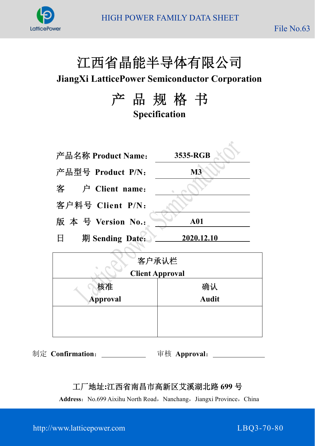

# 江西省晶能半导体有限公司

**JiangXi LatticePower Semiconductor Corporation**

产 品 规 格 书 **Specification**

| 产品名称 Product Name:        | 3535-RGB      |
|---------------------------|---------------|
| 产品型号 Product P/N:         | $\mathbf{M}3$ |
| 客 户 Client name:          |               |
| 客户料号 Client P/N:          |               |
| 版本号 Version No.:          | <b>A01</b>    |
| 期 Sending Date:<br>$\Box$ | 2020.12.10    |
|                           |               |

| 客户承认栏                  |              |  |  |  |
|------------------------|--------------|--|--|--|
| <b>Client Approval</b> |              |  |  |  |
| 核准                     | 确认           |  |  |  |
| Approval               | <b>Audit</b> |  |  |  |
|                        |              |  |  |  |
|                        |              |  |  |  |

制定 **Confirmation**: 审核 **Approval**:

### 工厂地址**:**江西省南昌市高新区艾溪湖北路 **699** 号

Address: No.699 Aixihu North Road, Nanchang, Jiangxi Province, China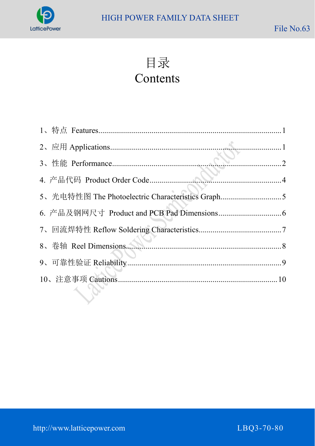

目录

# Contents

| 5、光电特性图 The Photoelectric Characteristics Graph5                 |  |
|------------------------------------------------------------------|--|
|                                                                  |  |
|                                                                  |  |
| 8、卷轴 Reel Dimensions Manuscriptum 2008 8、卷轴 Reel Dimensions 2008 |  |
|                                                                  |  |
|                                                                  |  |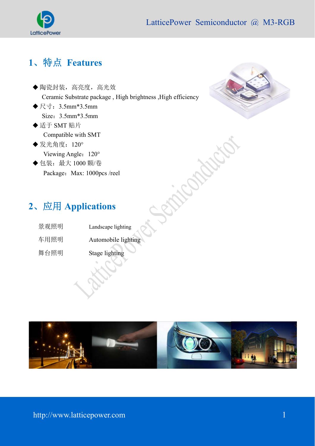

## **1**、特点 **Features**

- 陶瓷封装,高亮度,高光效 Ceramic Substrate package , High brightness ,High efficiency
- $\blacklozenge$   $\mathbb{R}$   $\pm$  : 3.5mm\*3.5mm Size:3.5mm\*3.5mm
- ◆适于 SMT 贴片 Compatible with SMT
- ◆ 发光角度: 120° Viewing Angle: 120°
- ◆包装: 最大 1000 颗/卷 Package: Max: 1000pcs /reel



# **2**、应用 **Applications**

| 景观照明 | Landscape lighting  |
|------|---------------------|
| 车用照明 | Automobile lighting |
| 舞台照明 | Stage lighting      |
|      |                     |

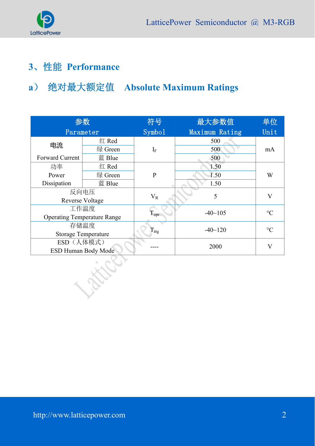

# **3**、性能 **Performance**

# **a**) 绝对最大额定值 **Absolute Maximum Ratings**

| 参数                                 |                            | 符号                        | 最大参数值          | 单位              |
|------------------------------------|----------------------------|---------------------------|----------------|-----------------|
| Parameter                          |                            | Symbo1                    | Maximum Rating | Unit            |
|                                    | 红 Red                      |                           | 500            |                 |
| 电流                                 | 绿 Green                    | $I_F$                     | 500            | mA              |
| <b>Forward Current</b>             | 蓝 Blue                     |                           | 500            |                 |
| 功率                                 | 红 Red                      |                           | 1.50           |                 |
| Power                              | 绿 Green                    | $\overline{P}$            | 1.50           | W               |
| Dissipation                        | 蓝 Blue                     |                           | 1.50           |                 |
| 反向电压                               |                            | $V_R$                     | 5              | $\bf{V}$        |
|                                    | <b>Reverse Voltage</b>     |                           |                |                 |
|                                    | 工作温度                       |                           | $-40$ $-105$   | $\rm ^{\circ}C$ |
| <b>Operating Temperature Range</b> |                            | $T_{\text{opt}}$          |                |                 |
|                                    | 存储温度                       |                           | $-40$ ~120     | $\rm ^{\circ}C$ |
|                                    | <b>Storage Temperature</b> | $\mathrm{T_{\text{stg}}}$ |                |                 |
| ESD (人体模式)                         |                            |                           | 2000           | V               |
|                                    | <b>ESD Human Body Mode</b> |                           |                |                 |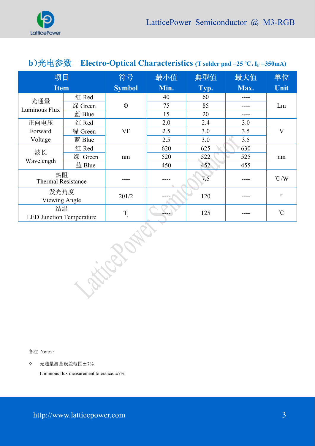

| b)光电参数<br>Electro-Optical Characteristics (T solder pad = $25 \degree C$ , I <sub>F</sub> = $350 \text{mA}$ ) |         |               |      |      |      |               |
|---------------------------------------------------------------------------------------------------------------|---------|---------------|------|------|------|---------------|
| 项目                                                                                                            |         | 符号            | 最小值  | 典型值  | 最大值  | 单位            |
| <b>Item</b>                                                                                                   |         | <b>Symbol</b> | Min. | Typ. | Max. | Unit          |
| 光通量                                                                                                           | 红 Red   |               | 40   | 60   |      |               |
| Luminous Flux                                                                                                 | 绿 Green | $\Phi$        | 75   | 85   |      | Lm            |
|                                                                                                               | 蓝 Blue  |               | 15   | 20   |      |               |
| 正向电压                                                                                                          | 红 Red   |               | 2.0  | 2.4  | 3.0  |               |
| Forward                                                                                                       | 绿 Green | VF            | 2.5  | 3.0  | 3.5  | $\mathbf{V}$  |
| Voltage                                                                                                       | 蓝 Blue  |               | 2.5  | 3.0  | 3.5  |               |
| 波长                                                                                                            | 红 Red   |               | 620  | 625  | 630  |               |
| Wavelength                                                                                                    | 绿 Green | nm            | 520  | 522  | 525  | nm            |
|                                                                                                               | 蓝 Blue  |               | 450  | 452  | 455  |               |
| 热阻<br><b>Thermal Resistance</b>                                                                               |         |               |      | 7.5  |      | $\degree$ C/W |
| 发光角度<br>Viewing Angle                                                                                         |         | $2\theta$ 1/2 |      | 120  |      | $\circ$       |
| 结温<br><b>LED Junction Temperature</b>                                                                         |         | $T_j$         |      | 125  |      | $^{\circ}$ C  |

备注 Notes :

光通量测量误差范围±7%

Luminous flux measurement tolerance:  $\pm 7\%$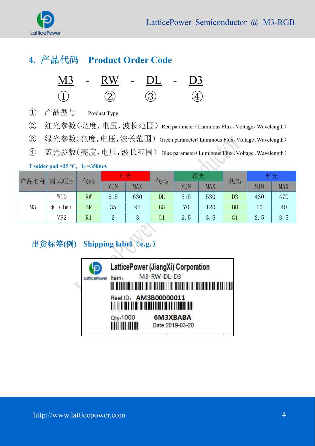

### **4.** 产品代码 **Product Order Code**

| M3 | $\sim$ | ${\rm RW}$ | DI.<br>$\sim$ $-$ | <b>Contract</b> | $\mathbf{D}3$ |
|----|--------|------------|-------------------|-----------------|---------------|
|    |        |            |                   |                 |               |

- ① 产品型号 Product Type
- ② 红光参数(亮度,电压,波长范围)Red parameter(Luminous Flux、Voltage、Wavelength)
- ③ 绿光参数(亮度,电压,波长范围)Green parameter(Luminous Flux、Voltage、Wavelength)
- ④ 蓝光参数(亮度,电压,波长范围)Blue parameter(Luminous Flux、Voltage、Wavelength)

#### **T** solder pad =25 °C,  $I_F = 350 \text{ mA}$

| 产品名称           | 测试项目<br>代码       |           | 红光            |            | 代码             | 绿光  |            | 代码             | 蓝光         |            |
|----------------|------------------|-----------|---------------|------------|----------------|-----|------------|----------------|------------|------------|
|                |                  |           | MIN           | <b>MAX</b> |                | MIN | <b>MAX</b> |                | <b>MIN</b> | <b>MAX</b> |
|                | WLD              | <b>RW</b> | 615           | 630        | $\rm DL$       | 515 | 530        | D <sub>3</sub> | 430        | 470        |
| M <sub>3</sub> | $\pm$ m $)$<br>Φ | <b>BR</b> | 35            | 95         | <b>BG</b>      | 70  | 120        | <b>BB</b>      | 10         | 40         |
|                | VF <sub>2</sub>  | R1        | $\Omega$<br>↵ | 3          | G <sub>1</sub> | 2.5 | 3.5        | G <sub>1</sub> | 2.5        | 3.5        |

出货标签**(**例**) Shipping label**(**e.g.**)Item. LatticePower

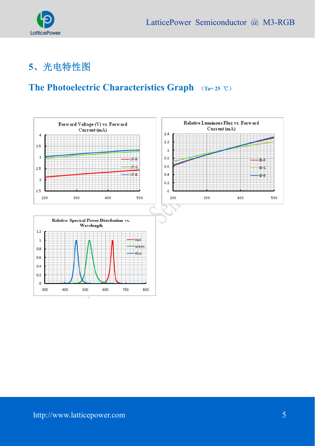

# **5**、光电特性图

### **The Photoelectric Characteristics Graph** (**Ta= 25** ℃)

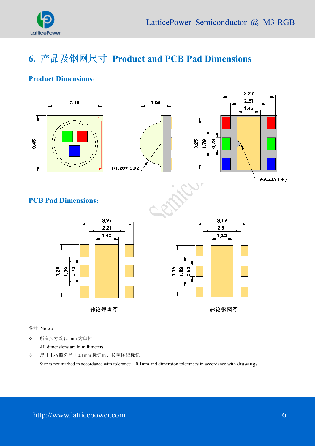

# **6.** 产品及钢网尺寸 **Product and PCB Pad Dimensions**

#### **Product Dimensions**:



备注 Notes:

所有尺寸均以 mm 为单位

All dimensions are in millimeters

尺寸未按照公差±0.1mm 标记的,按照图纸标记

Size is not marked in accordance with tolerance  $\pm$  0.1mm and dimension tolerances in accordance with drawings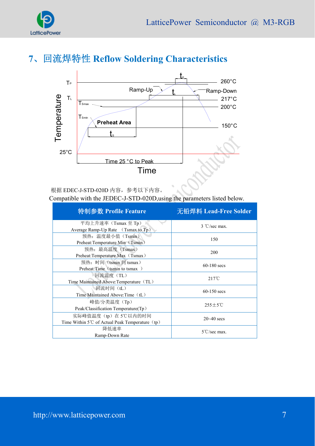

# **7**、回流焊特性 **Reflow Soldering Characteristics**



根据 EDEC-J-STD-020D 内容,参考以下内容。

Compatible with the JEDEC-J-STD-020D,using the parameters listed below.

| 特制参数 Profile Feature                                          | 无铅焊料 Lead-Free Solder  |  |
|---------------------------------------------------------------|------------------------|--|
| 平均上升速率 $(Tsmax \nsubseteq T_p)$                               | $3 °C/sec$ max.        |  |
| Average Ramp-Up Rate (Tsmax to Tp)                            |                        |  |
| 预热: 温度最小值 (Tsmin)                                             | 150                    |  |
| Preheat: Temperature Min (Tsmin)                              |                        |  |
| 预热: 最高温度 (Tsmax)                                              |                        |  |
| Preheat:Temperature Max (Tsmax)                               | 200                    |  |
| 预热: 时间 (tsmin 到 tsmax)                                        |                        |  |
| Preheat:Time (tsmin to tsmax)                                 | $60-180$ secs          |  |
| 回流温度(TL)                                                      |                        |  |
| Time Maintained Above: Temperature (TL)                       | $217^{\circ}$ C        |  |
| 回流时间 (tL)                                                     | $60-150$ secs          |  |
| Time Maintained Above: Time (tL)                              |                        |  |
| 峰值/分类温度(Tp)                                                   |                        |  |
| Peak/Classification Temperature(Tp)                           | $255 \pm 5^{\circ}$ C  |  |
| 实际峰值温度(tp)在5℃以内的时间                                            |                        |  |
| Time Within 5 <sup>°</sup> C of Actual Peak Temperature $(p)$ | $20 - 40$ secs         |  |
| 降低速率                                                          | $5^{\circ}$ C/sec max. |  |
| Ramp-Down Rate                                                |                        |  |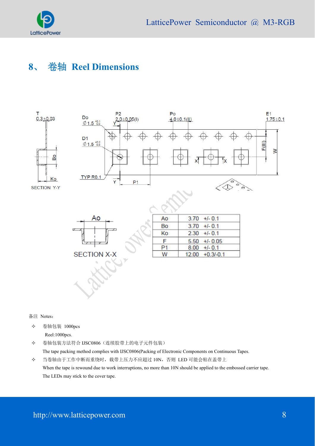

### **8**、 卷轴 **Reel Dimensions**



备注 Notes:

 卷轴包装 1000pcs Reel:1000pcs.

 卷轴包装方法符合 IJSC0806(连续胶带上的电子元件包装) The tape packing method complies with IJSC0806(Packing of Electronic Components on Continuous Tapes. 当卷轴由于工作中断而重绕时,载带上压力不应超过 10N,否则 LED 可能会粘在盖带上

When the tape is rewound due to work interruptions, no more than 10N should be applied to the embossed carrier tape. The LEDs may stick to the cover tape.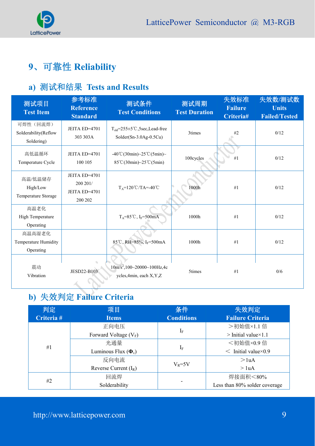

# **9**、可靠性 **Reliability**

### **a)** 测试和结果 **Tests and Results**

| 测试项目<br><b>Test Item</b>                           | 参考标准<br><b>Reference</b><br><b>Standard</b>           | 测试条件<br><b>Test Conditions</b>                                                               | 测试周期<br><b>Test Duration</b> | 失效标准<br><b>Failure</b><br>Criteria# | 失效数/测试数<br><b>Units</b><br><b>Failed/Tested</b> |
|----------------------------------------------------|-------------------------------------------------------|----------------------------------------------------------------------------------------------|------------------------------|-------------------------------------|-------------------------------------------------|
| 可焊性(回流焊)<br>Solderability(Reflow<br>Soldering)     | JEITA ED=4701<br>303 303A                             | $T_{\text{sld}} = 255 \pm 5^{\circ}$ C, 5sec, Lead-free<br>$Solder(Sn-3.0Ag-0.5Cu)$          | 3times                       | #2                                  | 0/12                                            |
| 高低温循环<br>Temperature Cycle                         | JEITA ED=4701<br>100 105                              | $-40^{\circ}$ C(30min)~25 $^{\circ}$ C(5min)~<br>$85^{\circ}$ C(30min)~25 $^{\circ}$ C(5min) | 100cycles                    | #1                                  | 0/12                                            |
| 高温/低温储存<br>High/Low<br>Temperature Storage         | JEITA ED=4701<br>200 201/<br>JEITA ED=4701<br>200 202 | $T_A = 120^{\circ}C/TA = -40^{\circ}C$                                                       | 1000h                        | #1                                  | 0/12                                            |
| 高温老化<br>High Temperature<br>Operating              |                                                       | $T_A = 85^{\circ}C$ , I <sub>F</sub> =500mA                                                  | 1000h                        | #1                                  | 0/12                                            |
| 高温高湿老化<br><b>Temperature Humidity</b><br>Operating |                                                       | 85°C, RH=85%, I <sub>F</sub> =500mA                                                          | 1000h                        | #1                                  | 0/12                                            |
| 震动<br>Vibration                                    | <b>JESD22-B103</b>                                    | $10m/s^2$ , $100~20000~100 Hz$ , 4c<br>ycles, 4min, each X, Y, Z                             | 5times                       | #1                                  | 0/6                                             |

# **b)** 失效判定 **Failure Criteria**

| 判定         | 条件<br>项目                   |                     | 失效判定                           |  |
|------------|----------------------------|---------------------|--------------------------------|--|
| Criteria # | <b>Items</b>               | <b>Conditions</b>   |                                |  |
|            | 正向电压                       |                     | >初始值×1.1 倍                     |  |
|            | Forward Voltage $(V_F)$    | ${\rm I}_{{\rm F}}$ | $>$ Initial value $\times$ 1.1 |  |
| #1         | 光通量                        |                     | <初始值×0.9倍                      |  |
|            | Luminous Flux $(\Phi_{v})$ | $I_F$               | $\leq$ Initial value × 0.9     |  |
|            | 反向电流                       | $V_R = 5V$          | >1 <sub>u</sub> A              |  |
|            | Reverse Current $(I_R)$    |                     | $>$ luA                        |  |
| #2         | 回流焊                        |                     | 焊接面积<80%                       |  |
|            | Solderability              |                     | Less than 80% solder coverage  |  |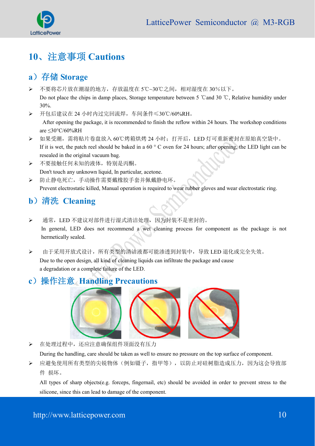

# **10**、注意事项 **Cautions**

### a) 存储 **Storage**

- 不要将芯片放在潮湿的地方,存放温度在 5℃~30℃之间,相对湿度在 30%以下。 Do not place the chips in damp places, Storage temperature between 5 ℃and 30 ℃, Relative humidity under 30%.
- 开包后建议在 24 小时内过完回流焊,车间条件≤30℃/60%RH。

After opening the package, it is recommended to finish the reflow within 24 hours. The workshop conditions are ≤30°C/60%RH

- > 如果受潮, 需将贴片卷盘放入 60℃烤箱烘烤 24 小时; 打开后, LED 灯可重新密封在原始真空袋中。 If it is wet, the patch reel should be baked in a 60 ° C oven for 24 hours; after opening, the LED light can be resealed in the original vacuum bag.
- 不要接触任何未知的液体,特别是丙酮。 Don't touch any unknown liquid, In particular, acetone.
- 防止静电死亡,手动操作需要戴橡胶手套并佩戴静电环。 Prevent electrostatic killed, Manual operation is required to wear rubber gloves and wear electrostatic ring.

### **b**)清洗 **Cleaning**

- > 通常, LED 不建议对部件进行湿式清洁处理, 因为封装不是密封的。 In general, LED does not recommend a wet cleaning process for component as the package is not hermetically sealed.
- > 由于采用开放式设计,所有类型的清洁液都可能渗透到封装中,导致 LED 退化或完全失效。 Due to the open design, all kind of cleaning liquids can infiltrate the package and cause a degradation or a complete failure of the LED.

### **c**)操作注意 **Handling Precautions**



在处理过程中,还应注意确保组件顶面没有压力

During the handling, care should be taken as well to ensure no pressure on the top surface of component.

 应避免使用所有类型的尖锐物体(例如镊子,指甲等),以防止对硅树脂造成压力,因为这会导致部 件 损坏。

All types of sharp objects(e.g. forceps, fingernail, etc) should be avoided in order to prevent stress to the silicone, since this can lead to damage of the component.